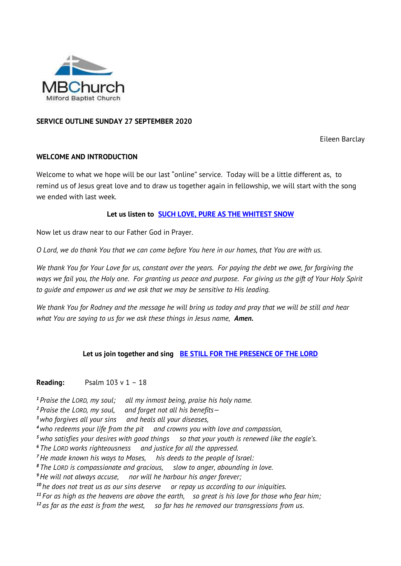

# **SERVICE OUTLINE SUNDAY 27 SEPTEMBER 2020**

Eileen Barclay

## **WELCOME AND INTRODUCTION**

Welcome to what we hope will be our last "online" service. Today will be a little different as, to remind us of Jesus great love and to draw us together again in fellowship, we will start with the song we ended with last week.

## **Let us listen to [SUCH LOVE, PURE AS THE WHITEST SNOW](http://www.viewpure.com/b85vWfUS38k?)**

Now let us draw near to our Father God in Prayer.

*O Lord, we do thank You that we can come before You here in our homes, that You are with us.* 

*We thank You for Your Love for us, constant over the years. For paying the debt we owe, for forgiving the ways we fail you, the Holy one. For granting us peace and purpose. For giving us the gift of Your Holy Spirit to guide and empower us and we ask that we may be sensitive to His leading.* 

*We thank You for Rodney and the message he will bring us today and pray that we will be still and hear what You are saying to us for we ask these things in Jesus name, Amen.*

### **Let us join together and sing [BE STILL FOR THE PRESENCE OF THE LORD](http://www.viewpure.com/ZugvUQ4m90U?)**

### **Reading:** Psalm 103 v 1 – 18

*<sup>1</sup> Praise the LORD, my soul; all my inmost being, praise his holy name.*

*<sup>2</sup> Praise the LORD, my soul, and forget not all his benefits—*

*<sup>3</sup>who forgives all your sins and heals all your diseases,*

*<sup>4</sup>who redeems your life from the pit and crowns you with love and compassion,*

*<sup>5</sup>who satisfies your desires with good things so that your youth is renewed like the eagle's.*

*<sup>6</sup> The LORD works righteousness and justice for all the oppressed.*

*<sup>7</sup>He made known his ways to Moses, his deeds to the people of Israel:*

*<sup>8</sup> The LORD is compassionate and gracious, slow to anger, abounding in love.*

*<sup>9</sup>He will not always accuse, nor will he harbour his anger forever;*

*<sup>10</sup> he does not treat us as our sins deserve or repay us according to our iniquities.*

*<sup>11</sup> For as high as the heavens are above the earth, so great is his love for those who fear him;*

*<sup>12</sup> as far as the east is from the west, so far has he removed our transgressions from us.*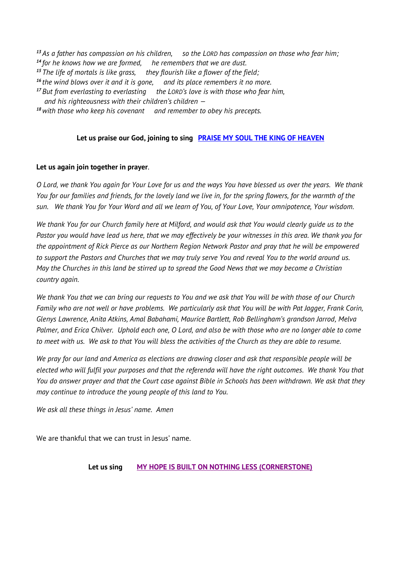*As a father has compassion on his children, so the LORD has compassion on those who fear him; for he knows how we are formed, he remembers that we are dust. The life of mortals is like grass, they flourish like a flower of the field; the wind blows over it and it is gone, and its place remembers it no more. But from everlasting to everlasting the LORD's love is with those who fear him, and his righteousness with their children's children — with those who keep his covenant and remember to obey his precepts.*

# **Let us praise our God, joining to sing [PRAISE MY SOUL THE KING OF HEAVEN](http://www.viewpure.com/rCRCZMmnwZQ?)**

# **Let us again join together in prayer**.

*O Lord, we thank You again for Your Love for us and the ways You have blessed us over the years. We thank You for our families and friends, for the lovely land we live in, for the spring flowers, for the warmth of the sun. We thank You for Your Word and all we learn of You, of Your Love, Your omnipotence, Your wisdom.* 

*We thank You for our Church family here at Milford, and would ask that You would clearly guide us to the Pastor you would have lead us here, that we may effectively be your witnesses in this area. We thank you for the appointment of Rick Pierce as our Northern Region Network Pastor and pray that he will be empowered to support the Pastors and Churches that we may truly serve You and reveal You to the world around us. May the Churches in this land be stirred up to spread the Good News that we may become a Christian country again.*

*We thank You that we can bring our requests to You and we ask that You will be with those of our Church Family who are not well or have problems. We particularly ask that You will be with Pat Jagger, Frank Corin, Glenys Lawrence, Anita Atkins, Amal Babahami, Maurice Bartlett, Rob Bellingham's grandson Jarrod, Melva Palmer, and Erica Chilver. Uphold each one, O Lord, and also be with those who are no longer able to come to meet with us. We ask to that You will bless the activities of the Church as they are able to resume.*

*We pray for our land and America as elections are drawing closer and ask that responsible people will be elected who will fulfil your purposes and that the referenda will have the right outcomes. We thank You that You do answer prayer and that the Court case against Bible in Schools has been withdrawn. We ask that they may continue to introduce the young people of this land to You.*

*We ask all these things in Jesus' name. Amen*

We are thankful that we can trust in Jesus' name.

**Let us sing [MY HOPE IS BUILT ON NOTHING LESS \(CORNERSTONE\)](http://www.viewpure.com/QvLxZEU02uI?)**